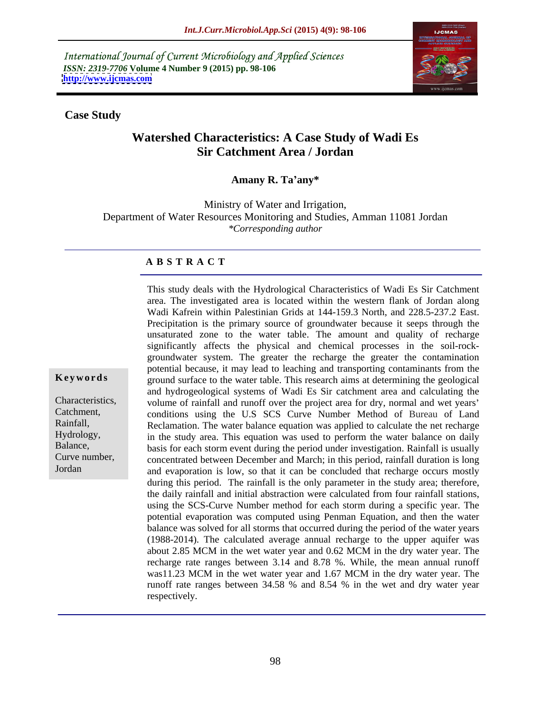International Journal of Current Microbiology and Applied Sciences *ISSN: 2319-7706* **Volume 4 Number 9 (2015) pp. 98-106 <http://www.ijcmas.com>**



#### **Case Study**

# **Watershed Characteristics: A Case Study of Wadi Es Sir Catchment Area / Jordan**

**Amany R. Ta any\***

Ministry of Water and Irrigation, Department of Water Resources Monitoring and Studies, Amman 11081 Jordan *\*Corresponding author*

### **A B S T R A C T**

This study deals with the Hydrological Characteristics of Wadi Es Sir Catchment area. The investigated area is located within the western flank of Jordan along Wadi Kafrein within Palestinian Grids at 144-159.3 North, and 228.5-237.2 East. Precipitation is the primary source of groundwater because it seeps through the unsaturated zone to the water table. The amount and quality of recharge significantly affects the physical and chemical processes in the soil-rock groundwater system. The greater the recharge the greater the contamination potential because, it may lead to leaching and transporting contaminants from the ground surface to the water table. This research aims at determining the geological **Ke ywo rds** and hydrogeological systems of Wadi Es Sir catchment area and calculating the volume of rainfall and runoff over the project area for dry, normal and wet years Characteristics, conditions using the U.S SCS Curve Number Method of Bureau of Land Catchment, Rainfall, Reclamation. The water balance equation was applied to calculate the net recharge Hydrology, in the study area. This equation was used to perform the water balance on daily Balance, basis for each storm event during the period under investigation. Rainfall is usually concentrated between December and March; in this period, rainfall duration is long Curve number, and evaporation is low, so that it can be concluded that recharge occurs mostly during this period. The rainfall is the only parameter in the study area; therefore, the daily rainfall and initial abstraction were calculated from four rainfall stations, using the SCS-Curve Number method for each storm during a specific year. The potential evaporation was computed using Penman Equation, and then the water balance was solved for all storms that occurred during the period of the water years (1988-2014). The calculated average annual recharge to the upper aquifer was about 2.85 MCM in the wet water year and 0.62 MCM in the dry water year. The recharge rate ranges between 3.14 and 8.78 %. While, the mean annual runoff was11.23 MCM in the wet water year and 1.67 MCM in the dry water year. The runoff rate ranges between 34.58 % and 8.54 % in the wet and dry water year respectively.

Jordan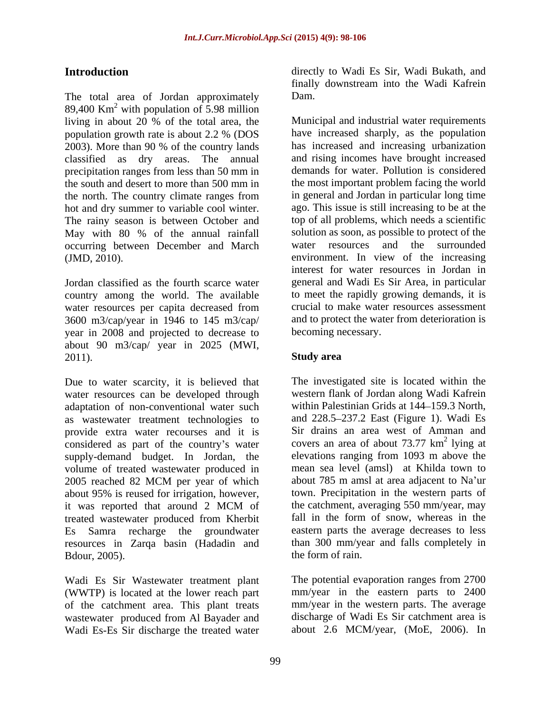The total area of Jordan approximately Dam.  $89,400$  Km<sup>2</sup> with population of 5.98 million living in about 20 % of the total area, the population growth rate is about  $2.2$  % (DOS) 2003). More than 90 % of the country lands precipitation ranges from less than 50 mm in the north. The country climate ranges from The rainy season is between October and May with 80 % of the annual rainfall occurring between December and March

country among the world. The available water resources per capita decreased from 3600 m3/cap/year in 1946 to 145 m3/cap/ year in 2008 and projected to decrease to about 90 m3/cap/ year in 2025 (MWI, 2011). Study area

Due to water scarcity, it is believed that water resources can be developed through adaptation of non-conventional water such as wastewater treatment technologies to and 228.5 237.2 East (Figure 1). Wadi Es provide extra water recourses and it is considered as part of the country's water supply-demand budget. In Jordan, the volume of treated wastewater produced in 2005 reached 82 MCM per year of which about 785 m amsl at area adjacent to Na'ur about 95% is reused for irrigation, however, it was reported that around 2 MCM of the catchment, averaging 550 mm/year, may treated wastewater produced from Kherbit Es Samra recharge the groundwater resources in Zarqa basin (Hadadin and Bdour, 2005).

Wadi Es Sir Wastewater treatment plant (WWTP) is located at the lower reach part of the catchment area. This plant treats wastewater produced from Al Bayader and Wadi Es-Es Sir discharge the treated water

**Introduction** directly to Wadi Es Sir, Wadi Bukath, and finally downstream into the Wadi Kafrein Dam.

population growth rate is about 2.2 % (DOS classified as dry areas. The annual and rising incomes have brought increased the south and desert to more than 500 mm in the most important problem facing the world hot and dry summer to variable cool winter. ago. This issue is still increasing to be at the (JMD, 2010). environment. In view of the increasing Jordan classified as the fourth scarce water general and Wadi Es Sir Area, in particular Municipal and industrial water requirements have increased sharply, as the population has increased and increasing urbanization demands for water. Pollution is considered the most important problem facing the world in general and Jordan in particular long time top of all problems, which needs a scientific solution as soon, as possible to protect of the water resources and the surrounded interest for water resources in Jordan in to meet the rapidly growing demands, it is crucial to make water resources assessment and to protect the water from deterioration is becoming necessary.

## **Study area**

The investigated site is located within the western flank of Jordan along Wadi Kafrein within Palestinian Grids at 144-159.3 North, Sir drains an area west of Amman and covers an area of about  $73.77 \text{ km}^2$  lying at <sup>2</sup> lying of lying at elevations ranging from 1093 m above the mean sea level (amsl) at Khilda town to about 785 m amsl at area adjacent to Na'ur town. Precipitation in the western parts of the catchment, averaging 550 mm/year, may fall in the form of snow, whereas in the eastern parts the average decreases to less than 300 mm/year and falls completely in the form of rain.

The potential evaporation ranges from 2700 mm/year in the eastern parts to 2400 mm/year in the western parts. The average discharge of Wadi Es Sir catchment area is about 2.6 MCM/year, (MoE, 2006). In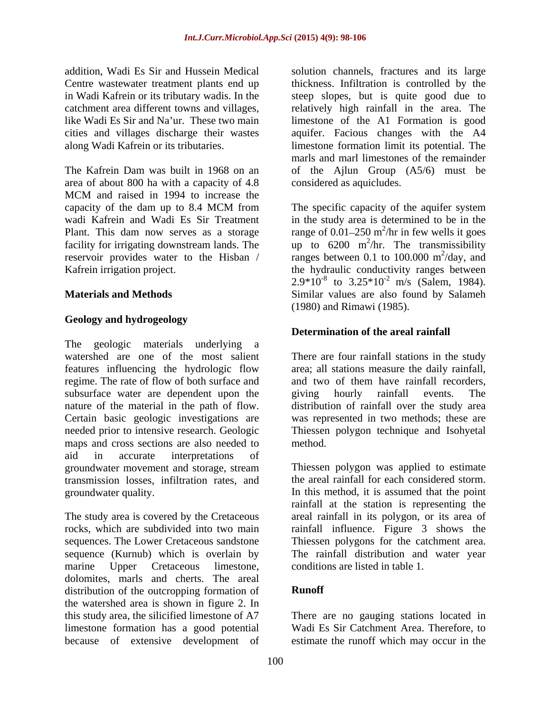The Kafrein Dam was built in 1968 on an of the Ajlun Group (A5/6) must be area of about 800 ha with a capacity of 4.8 MCM and raised in 1994 to increase the capacity of the dam up to 8.4 MCM from The specific capacity of the aquifer system wadi Kafrein and Wadi Es Sir Treatment in the study area is determined to be in the Plant. This dam now serves as a storage range of  $0.01-250$  m<sup>2</sup>/hr in few wells it goes facility for irrigating downstream lands. The  $\mu$  to 6200 m<sup>2</sup>/hr. The transmissibility reservoir provides water to the Hisban / ranges between 0.1 to 100.000  $\text{m}^2/\text{day}$ , and

## **Geology and hydrogeology**

The geologic materials underlying a watershed are one of the most salient There are four rainfall stations in the study features influencing the hydrologic flow area; all stations measure the daily rainfall, regime. The rate of flow of both surface and and two of them have rainfall recorders, subsurface water are dependent upon the giving hourly rainfall events. The nature of the material in the path of flow. distribution of rainfall over the study area nature of the material in the path of flow. distribution of rainfall over the study area Certain basic geologic investigations are needed prior to intensive research. Geologic Thiessen polygon technique and Isohyetal maps and cross sections are also needed to method. aid in accurate interpretations of groundwater movement and storage, stream transmission losses, infiltration rates, and

dolomites, marls and cherts. The areal<br>distribution of the outcropping formation of **Runoff** distribution of the outcropping formation of the watershed area is shown in figure 2. In this study area, the silicified limestone of A7 There are no gauging stations located in limestone formation has a good potential Wadi Es Sir Catchment Area. Therefore, to

addition, Wadi Es Sir and Hussein Medical solution channels, fractures and its large Centre wastewater treatment plants end up thickness. Infiltration is controlled by the in Wadi Kafrein or its tributary wadis. In the steep slopes, but is quite good due to catchment area different towns and villages, relatively high rainfall in the area. The like Wadi Es Sir and Na'ur. These two main limestone of the A1 Formation is good cities and villages discharge their wastes aquifer. Facious changes with the A4 along Wadi Kafrein or its tributaries. limestone formation limit its potential. The marls and marl limestones of the remainder considered as aquicludes.

Kafrein irrigation project. the hydraulic conductivity ranges between **Materials and Methods** Similar values are also found by Salameh The specific capacity of the aquifer system  $^{2}/$ hr in four wells it goes /hr in few wells it goes /hr. The transmissibility  $^{2}/\text{day}$  and /day, and  $2.9*10^{-8}$  to  $3.25*10^{-2}$  m/s (Salem, 1984). (1980) and Rimawi (1985).

### **Determination of the areal rainfall**

giving hourly rainfall events. The was represented in two methods; these are method.

groundwater quality. In this method, it is assumed that the point The study area is covered by the Cretaceous areal rainfall in its polygon, or its area of rocks, which are subdivided into two main rainfall influence. Figure 3 shows the sequences. The Lower Cretaceous sandstone Thiessen polygons for the catchment area. sequence (Kurnub) which is overlain by The rainfall distribution and water year marine Upper Cretaceous limestone, conditions are listed in table 1. Thiessen polygon was applied to estimate the areal rainfall for each considered storm. rainfall at the station is representing the

## **Runoff**

because of extensive development of estimate the runoffwhich may occur in the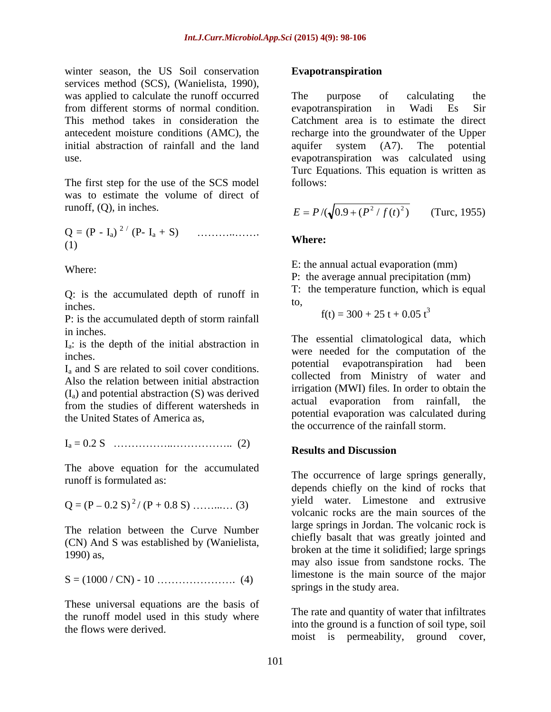winter season, the US Soil conservation Evapotranspiration services method (SCS), (Wanielista, 1990), was applied to calculate the runoff occurred The purpose of calculating the from different storms of normal condition. initial abstraction of rainfall and the land aquifer system (A7). The potential

The first step for the use of the SCS model follows: was to estimate the volume of direct of runoff, (Q), in inches.

Q = (P - Ia) <sup>2</sup> / (P- Ia + S) .. .  $(m)$  where:

Q: is the accumulated depth of runoff in  $\frac{1}{100}$ . inches.<br>  $\frac{1}{2}$  inches.<br>  $\frac{1}{2}$  inches.<br>  $\frac{1}{2}$  inches.<br>  $\frac{1}{2}$  inches.<br>  $\frac{1}{2}$  in  $\frac{1}{2}$  in  $\frac{1}{2}$  in  $\frac{1}{2}$  in  $\frac{1}{2}$  in  $\frac{1}{2}$  in  $\frac{1}{2}$  in  $\frac{1}{2}$  in  $\frac{1}{2}$  in  $\frac{1}{2}$  in  $\frac{1}{$ 

P: is the accumulated depth of storm rainfall in inches.

Ia: is the depth of the initial abstraction in

Also the relation between initial abstraction  $(I_a)$  and potential abstraction (S) was derived<br>tual evaporation from rainfall, the from the studies of different watersheds in the United States of America as,

Ia = 0.2 S .. .. (2)

The above equation for the accumulated runoff is formulated as:

$$
Q = (P - 0.2 S)^{2} / (P + 0.8 S) \dots (3)
$$

The relation between the Curve Number (CN) And S was established by (Wanielista,

S = (1000 / CN) - 10 . (4)

These universal equations are the basis of the runoff model used in this study where the flows were derived.

#### **Evapotranspiration**

This method takes in consideration the Catchment area is to estimate the direct antecedent moisture conditions (AMC), the recharge into the groundwater of the Upper use. evapotranspiration was calculated using The purpose of calculating the evapotranspiration in Wadi Es Sir aquifer system (A7). The potential Turc Equations. This equation is written as follows:

$$
E = P / (\sqrt{0.9 + (P^2 / f(t)^2)})
$$
 (Turc, 1955)

### **Where:**

Where:  $\sum_{n=1}^{\infty}$  is a set of  $\sum_{n=1}^{\infty}$  if  $\sum_{n=1}^{\infty}$  is  $\sum_{n=1}^{\infty}$  if  $\sum_{n=1}^{\infty}$  if  $\sum_{n=1}^{\infty}$  if  $\sum_{n=1}^{\infty}$  if  $\sum_{n=1}^{\infty}$  if  $\sum_{n=1}^{\infty}$  if  $\sum_{n=1}^{\infty}$  if  $\sum_{n=1}^{\infty}$  if  $\sum_{n=1$ E: the annual actual evaporation (mm)

P: the average annual precipitation (mm)

T: the temperature function, which is equal to,

 $f(t) = 300 + 25 t + 0.05 t^3$ 

at the depth of the linear abstraction in<br>
were needed for the computation of the<br>
were needed for the computation of the I<sub>a</sub> and S are related to soil cover conditions. potential evapotranspiration had been The essential climatological data, which potential evapotranspiration had been collected from Ministry of water and irrigation (MWI) files. In order to obtain the actual evaporation from rainfall, the potential evaporation was calculated during the occurrence of the rainfall storm.

### **Results and Discussion**

Q = (P 0.2 S) 2 / (P + 0.8 S) ... (3)  $1990$ ) as,  $12.7$  and  $12.7$  and  $12.7$  and  $12.7$  and  $12.7$  and  $12.7$  and  $12.7$  and  $12.7$  and  $12.7$  and  $12.7$  and  $12.7$  and  $12.7$  and  $12.7$  and  $12.7$  and  $12.7$  and  $12.7$  and  $12.7$  and  $12.7$  and  $12.7$  and The occurrence of large springs generally, depends chiefly on the kind of rocks that yield water. Limestone and extrusive volcanic rocks are the main sources of the large springs in Jordan. The volcanic rock is chiefly basalt that was greatly jointed and broken at the time it solidified; large springs may also issue from sandstone rocks. The limestone is the main source of the major springs in the study area.

> The rate and quantity of water that infiltrates into the ground is a function of soil type, soil moist is permeability, ground cover,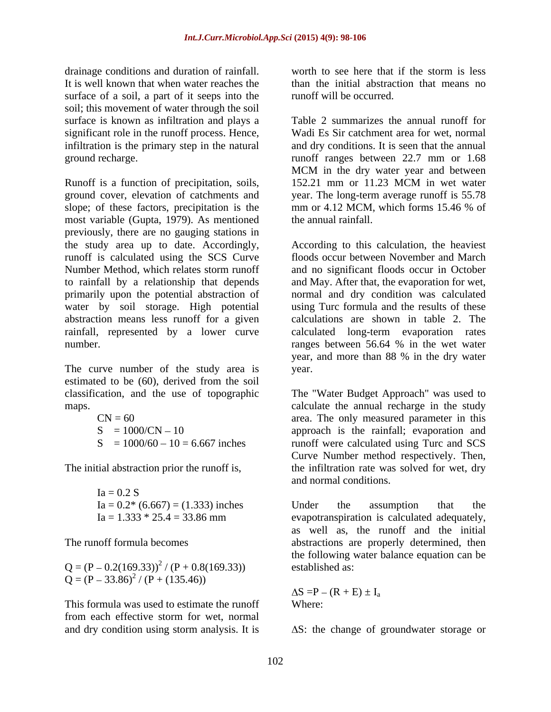drainage conditions and duration of rainfall. Worth to see here that if the storm is less It is well known that when water reaches the surface of a soil, a part of it seeps into the soil; this movement of water through the soil surface is known as infiltration and plays a significant role in the runoff process. Hence, infiltration is the primary step in the natural

Runoff is a function of precipitation, soils, 152.21 mm or 11.23 MCM in wet water ground cover, elevation of catchments and year. The long-term average runoff is 55.78 slope; of these factors, precipitation is the mm or 4.12 MCM, which forms 15.46 % of most variable (Gupta, 1979). As mentioned previously, there are no gauging stations in the study area up to date. Accordingly, runoff is calculated using the SCS Curve floods occur between November and March Number Method, which relates storm runoff and no significant floods occur in October to rainfall by a relationship that depends and May. After that, the evaporation for wet, primarily upon the potential abstraction of normal and dry condition was calculated water by soil storage. High potential abstraction means less runoff for a given rainfall, represented by a lower curve calculated long-term evaporation rates

The curve number of the study area is year. estimated to be (60), derived from the soil

$$
CN = 60
$$
  
\n
$$
S = 1000/CN - 10
$$
  
\n
$$
S = 1000/60 - 10 = 6.667
$$
 inches

 $Ia = 0.2 S$ 

 $Q = (P - 0.2(169.33))^2 / (P + 0.8(169.33))$  established as:  $Q = (P - 33.86)^2 / (P + (135.46))$ 

This formula was used to estimate the runoff from each effective storm for wet, normal and dry condition using storm analysis. It is

worth to see here that if the storm is less than the initial abstraction that means no runoff will be occurred.

infiltration is the primary step in the natural and dry conditions. It is seen that the annual ground recharge. runoff ranges between 22.7 mm or 1.68 Table 2 summarizes the annual runoff for Wadi Es Sir catchment area for wet, normal MCM in the dry water year and between 152.21 mm or 11.23 MCM in wet water mm or 4.12 MCM, which forms 15.46 % of the annual rainfall.

number. The ranges between 56.64 % in the wet water According to this calculation, the heaviest using Turc formula and the results of these calculations are shown in table 2. The year, and more than 88 % in the dry water year.

classification, and the use of topographic The "Water Budget Approach" was used to maps. calculate the annual recharge in the study  $CN = 60$  area. The only measured parameter in this  $S = 1000/CN - 10$  approach is the rainfall; evaporation and  $S = 1000/60 - 10 = 6.667$  inches runoff were calculated using Turc and SCS The initial abstraction prior the runoff is, the infiltration rate was solved for wet, dry Curve Number method respectively. Then, and normal conditions.

 $Ia = 0.2*(6.667) = (1.333)$  inches<br>  $Ia = 1.333 * 25.4 = 33.86$  mm evapotranspiration is calculated adequately.  $Ia = 1.333 * 25.4 = 33.86$  mm evapotranspiration is calculated adequately, The runoff formula becomes abstractions are properly determined, then Under the assumption that the as well as, the runoff and the initial the following water balance equation can be established as:

> $S = P - (R + E) \pm I_a$ Where: where  $\sim$

 $\Delta S$ : the change of groundwater storage or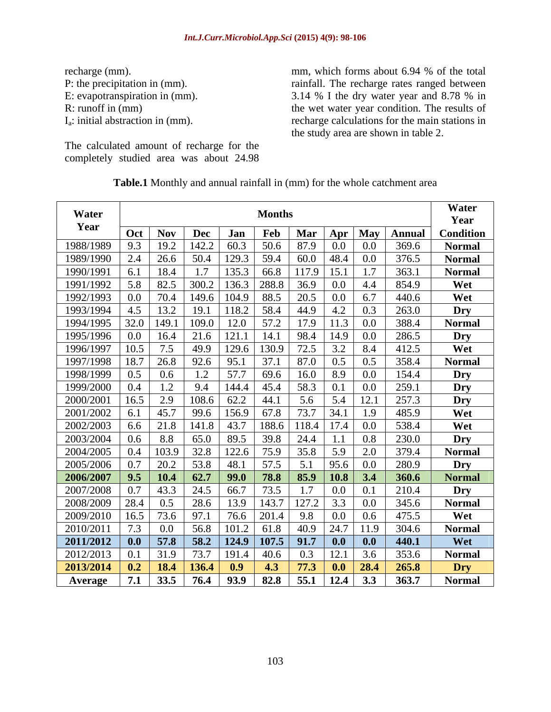The calculated amount of recharge for the completely studied area was about 24.98

recharge (mm). mm, which forms about 6.94 % of the total P: the precipitation in (mm). The recharge rates ranged between E: evapotranspiration in (mm). 3.14 % I the dry water year and 8.78 % in R: runoff in (mm) the wet water year condition. The results of Ia: initial abstraction in (mm). recharge calculations for the main stations in the study area are shown in table 2.

| Water     |         |               |       |             | <b>Months</b> |       |                |                  |        | Water            |
|-----------|---------|---------------|-------|-------------|---------------|-------|----------------|------------------|--------|------------------|
| Year      |         |               |       |             |               |       |                |                  |        | Year             |
|           | Oct     | <b>Nov</b>    | Dec   | Jan         | Feb           | Mar   |                | Apr   May        | Annual | <b>Condition</b> |
| 1988/1989 | 9.3     | 19.2          | 142.2 | 60.3        | 50.6          | 87.9  | 0.0            | $0.0\,$          | 369.6  | <b>Normal</b>    |
| 1989/1990 | 2.4     | 26.6          | 50.4  | 129.3       | 59.4          | 60.0  | $ 48.4\rangle$ | $0.0\,$          | 376.5  | <b>Normal</b>    |
| 1990/1991 |         | 18.4          |       | 135.3       | 66.8          | 117.9 | 15.1           |                  | 363.1  | <b>Normal</b>    |
| 1991/1992 | 5.8     | 82.5          | 300.2 | 136.3       | 288.8         | 36.9  | 0.0            | -4.4             | 854.9  | Wet              |
| 1992/1993 |         | 70.4          | 149.6 | 104.9       | 88.5          | 20.5  | 0.0            | 6.7              | 440.6  | Wet              |
| 1993/1994 | 4.5     |               | 19.   | 118.2       | 58.4          | 44.9  | 4.2            | 0.3              | 263.0  | Dry              |
| 1994/1995 | 32.0    | 149.1         |       | 12.0        | 57.2          | 17.9  | 11.3           | $0.0\,$          | 388.4  | <b>Normal</b>    |
| 1995/1996 |         | 16.4          | 21.6  | 121.1       |               | 98.4  | 14.9           | 0.0              | 286.5  | Dry              |
| 1996/1997 | 10.5    | 7.5           | 49.9  | 129.6       | 130.9         | 72.5  | 3.2            | 8.4              | 412.5  | Wet              |
| 1997/1998 | 18.7    | 26.8          | 92.6  | 95.1        | 37.1          | 87.0  | 0.5            | 0.5              | 358.4  | <b>Normal</b>    |
| 1998/1999 | 0.5     | 0.6           |       | 57.7        | 69.6          | 16.0  | 8.9            | $0.0\,$          | 154.4  | Dry              |
| 1999/2000 |         |               | 9.4   | 144.4       | 45.4          | 58.3  | 0.1            | $0.0\,$          | 259.1  | Dry              |
| 2000/2001 | 16.5    | 2.9           | 108.6 | 62.2        | 44.1          | 5.6   | 5.4            | 12.              | 257.3  | Dry              |
| 2001/2002 |         | 45.7          | 99.6  | 156.9       | 67.8          | 73.7  | 34.1           | 1.9              | 485.9  | Wet              |
| 2002/2003 | 6.6     | 21.8          | 141.8 | 43.7        | 188.6         | 118.4 | 17.4           | $0.0\,$          | 538.4  | Wet              |
| 2003/2004 |         | 8.8           | 65.0  | 89.5        | 39.8          | 24.4  |                | 0.8              | 230.0  | Dry              |
|           |         | 103.9         | 32.8  | 122.6       | 75.9          | 35.8  | 5.9            | 2.0              | 379.4  |                  |
| 2004/2005 | $0.4\,$ |               |       |             |               |       |                |                  |        | <b>Normal</b>    |
| 2005/2006 |         | 20.2          | 53.8  | 48.1        | 57.5          | 5.1   | 95.6           | 0.0 <sub>1</sub> | 280.9  | Dry              |
| 2006/2007 | 9.5     | $\sqrt{10.4}$ | 62.7  | <b>99.0</b> | 78.8          | 85.9  | 10.8           | 3,4              | 360.6  | <b>Normal</b>    |
| 2007/2008 |         | 43.3          | 24.5  | 66.7        | 73.5          |       | 0.0            | 0.1              | 210.4  | Dry              |
| 2008/2009 | 28.4    | 0.5           | 28.6  | 13.9        | 143.7         | 127.2 | 3.3            | $0.0\,$          | 345.6  | <b>Normal</b>    |
| 2009/2010 | 16.5    | 73.6          | 97.1  | 76.6        | 201.4         | 9.8   | 0.0            | $0.6^{\circ}$    | 475.5  | Wet              |
| 2010/2011 | 7.3     | $0.0\,$       | 56.8  | 101.2       | 61.8          | 40.9  | 24.7           | 11.9             | 304.6  | <b>Normal</b>    |
| 2011/2012 |         | 57.8          | 58.2  | 124.9       | 107.5         | 91.7  | $\bf0.0$       | $\bf{0.0}$       | 440.1  | Wet              |
| 2012/2013 |         | 31.9          | 73.7  | 191.4       | 40.6          | 0.3   |                | 3.6              | 353.6  | <b>Normal</b>    |
| 2013/2014 | 0.2     | 18.4          | 136.4 | 0.9         | 4.3           | 77.3  | 0.0            | 28.4             | 265.8  | Dry              |
| Average   | 7.1     | 33.5          | 76.4  | 93.9        | 82.8          | 55.1  | 12.4           | 3.3              | 363.7  | <b>Normal</b>    |

**Table.1** Monthly and annual rainfall in (mm) for the whole catchment area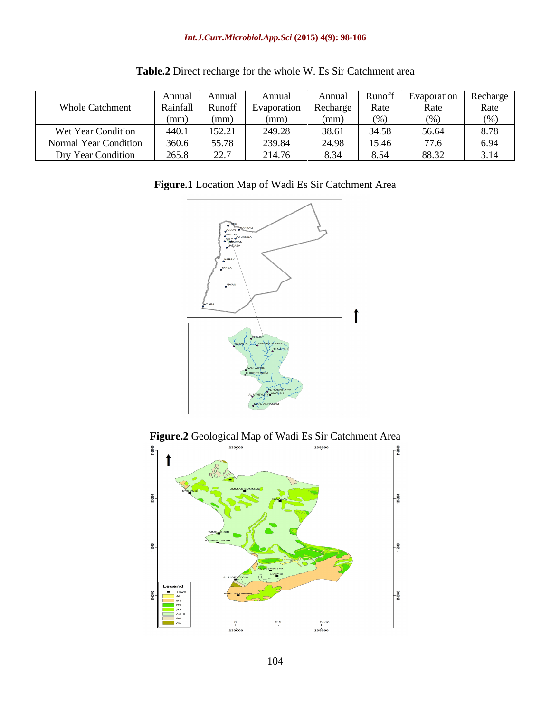|                        | Annual   | Annual           | Annua'      | Annua    | <b>Runott</b> | Evaporation   Recharge |       |
|------------------------|----------|------------------|-------------|----------|---------------|------------------------|-------|
| <b>Whole Catchment</b> | Rainfall | Runoff           | Evaporation | Recharge | Rate          | Rate                   | Rate  |
|                        | (mm      | (mm)             | (mm)        | (mm)     |               |                        | (0/2) |
| Wet Year Condition     | 440.     | 152.21           | 249.28      | 38.61    | 34.58         | 56.64                  | 8.78  |
| Normal Year Condition  | 360.6    | 55.78            | 239.84      | 24.98    | 15.46         | 77.6                   | 6.94  |
| Dry Year Condition     | 265.8    | 22.7<br><u>_</u> | 214.76      | 8.34     | 8.54          | 88.32                  | 3.14  |

**Table.2** Direct recharge for the whole W. Es Sir Catchment area





**Figure.2** Geological Map of Wadi Es Sir Catchment Area

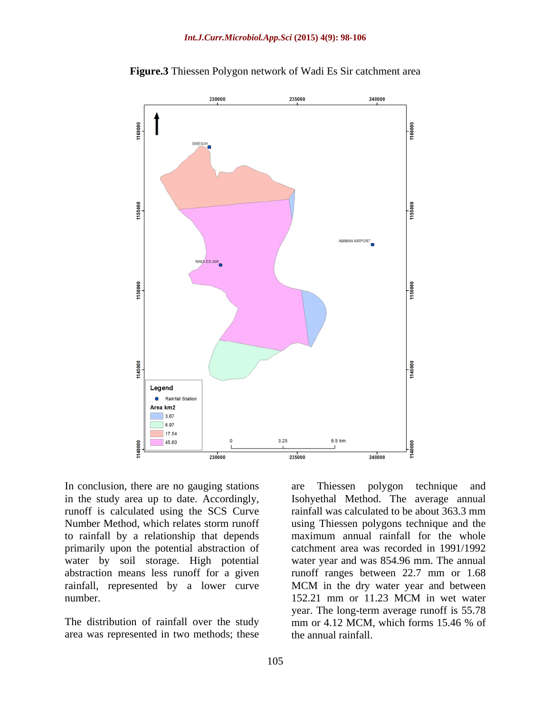

**Figure.3** Thiessen Polygon network of Wadi Es Sir catchment area

in the study area up to date. Accordingly, Isohyethal Method. The average annual runoff is calculated using the SCS Curve rainfall was calculated to be about 363.3 mm Number Method, which relates storm runoff using Thiessen polygons technique and the to rainfall by a relationship that depends primarily upon the potential abstraction of water by soil storage. High potential abstraction means less runoff for a given runoff ranges between 22.7 mm or 1.68 rainfall, represented by a lower curve MCM in the dry water year and between

area was represented in two methods; these

In conclusion, there are no gauging stations are Thiessen polygon technique and number. 152.21 mm or 11.23 MCM in wet water The distribution of rainfall over the study mm or 4.12 MCM, which forms 15.46 % of are Thiessen polygon technique and maximum annual rainfall for the whole catchment area was recorded in 1991/1992 water year and was 854.96 mm. The annual year. The long-term average runoff is 55.78 mm or 4.12 MCM, which forms 15.46 % of the annual rainfall.